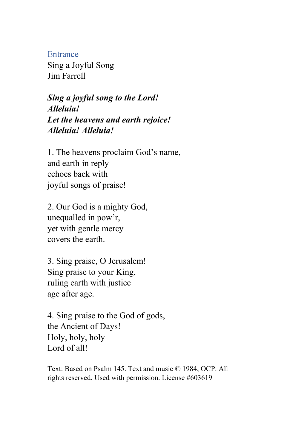Entrance

Sing a Joyful Song Jim Farrell

*Sing a joyful song to the Lord! Alleluia! Let the heavens and earth rejoice! Alleluia! Alleluia!*

1. The heavens proclaim God's name, and earth in reply echoes back with joyful songs of praise!

2. Our God is a mighty God, unequalled in pow'r, yet with gentle mercy covers the earth.

3. Sing praise, O Jerusalem! Sing praise to your King, ruling earth with justice age after age.

4. Sing praise to the God of gods, the Ancient of Days! Holy, holy, holy Lord of all!

Text: Based on Psalm 145. Text and music © 1984, OCP. All rights reserved. Used with permission. License #603619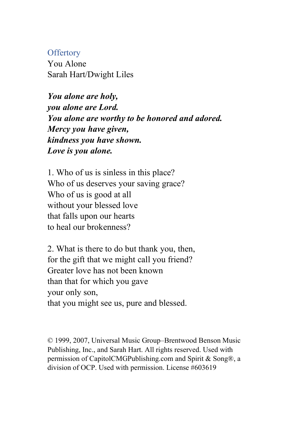## **Offertory**

You Alone Sarah Hart/Dwight Liles

*You alone are holy, you alone are Lord. You alone are worthy to be honored and adored. Mercy you have given, kindness you have shown. Love is you alone.*

1. Who of us is sinless in this place? Who of us deserves your saving grace? Who of us is good at all without your blessed love that falls upon our hearts to heal our brokenness?

2. What is there to do but thank you, then, for the gift that we might call you friend? Greater love has not been known than that for which you gave your only son, that you might see us, pure and blessed.

© 1999, 2007, Universal Music Group–Brentwood Benson Music Publishing, Inc., and Sarah Hart. All rights reserved. Used with permission of CapitolCMGPublishing.com and Spirit & Song®, a division of OCP. Used with permission. License #603619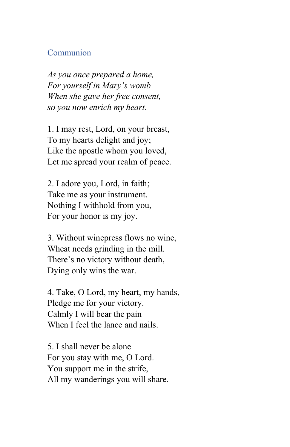## Communion

*As you once prepared a home, For yourself in Mary's womb When she gave her free consent, so you now enrich my heart.*

1. I may rest, Lord, on your breast, To my hearts delight and joy; Like the apostle whom you loved, Let me spread your realm of peace.

2. I adore you, Lord, in faith; Take me as your instrument. Nothing I withhold from you, For your honor is my joy.

3. Without winepress flows no wine, Wheat needs grinding in the mill. There's no victory without death, Dying only wins the war.

4. Take, O Lord, my heart, my hands, Pledge me for your victory. Calmly I will bear the pain When I feel the lance and nails.

5. I shall never be alone For you stay with me, O Lord. You support me in the strife, All my wanderings you will share.